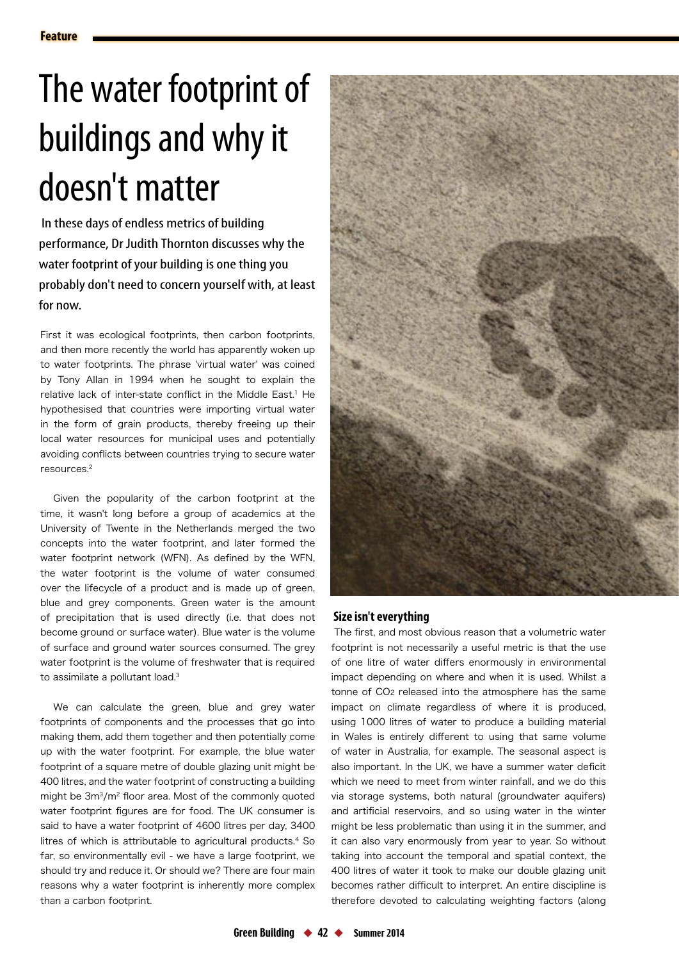# The water footprint of buildings and why it doesn't matter

 In these days of endless metrics of building performance, Dr Judith Thornton discusses why the water footprint of your building is one thing you probably don't need to concern yourself with, at least for now.

First it was ecological footprints, then carbon footprints, and then more recently the world has apparently woken up to water footprints. The phrase 'virtual water' was coined by Tony Allan in 1994 when he sought to explain the relative lack of inter-state conflict in the Middle East.<sup>1</sup> He hypothesised that countries were importing virtual water in the form of grain products, thereby freeing up their local water resources for municipal uses and potentially avoiding conflicts between countries trying to secure water resources.2

Given the popularity of the carbon footprint at the time, it wasn't long before a group of academics at the University of Twente in the Netherlands merged the two concepts into the water footprint, and later formed the water footprint network (WFN). As defined by the WFN, the water footprint is the volume of water consumed over the lifecycle of a product and is made up of green, blue and grey components. Green water is the amount of precipitation that is used directly (i.e. that does not become ground or surface water). Blue water is the volume of surface and ground water sources consumed. The grey water footprint is the volume of freshwater that is required to assimilate a pollutant load.<sup>3</sup>

We can calculate the green, blue and grey water footprints of components and the processes that go into making them, add them together and then potentially come up with the water footprint. For example, the blue water footprint of a square metre of double glazing unit might be 400 litres, and the water footprint of constructing a building might be 3m<sup>3</sup>/m<sup>2</sup> floor area. Most of the commonly quoted water footprint figures are for food. The UK consumer is said to have a water footprint of 4600 litres per day, 3400 litres of which is attributable to agricultural products.4 So far, so environmentally evil - we have a large footprint, we should try and reduce it. Or should we? There are four main reasons why a water footprint is inherently more complex than a carbon footprint.



## **Size isn't everything**

The first, and most obvious reason that a volumetric water footprint is not necessarily a useful metric is that the use of one litre of water differs enormously in environmental impact depending on where and when it is used. Whilst a tonne of CO2 released into the atmosphere has the same impact on climate regardless of where it is produced, using 1000 litres of water to produce a building material in Wales is entirely different to using that same volume of water in Australia, for example. The seasonal aspect is also important. In the UK, we have a summer water deficit which we need to meet from winter rainfall, and we do this via storage systems, both natural (groundwater aquifers) and artificial reservoirs, and so using water in the winter might be less problematic than using it in the summer, and it can also vary enormously from year to year. So without taking into account the temporal and spatial context, the 400 litres of water it took to make our double glazing unit becomes rather difficult to interpret. An entire discipline is therefore devoted to calculating weighting factors (along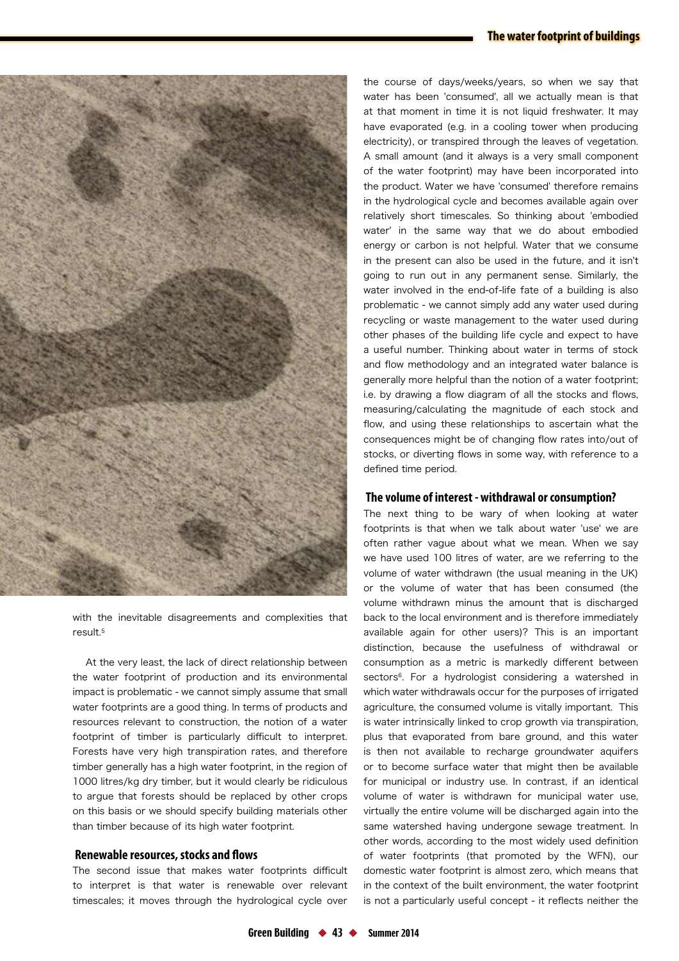### **The water footprint of buildings**



with the inevitable disagreements and complexities that result.5

At the very least, the lack of direct relationship between the water footprint of production and its environmental impact is problematic - we cannot simply assume that small water footprints are a good thing. In terms of products and resources relevant to construction, the notion of a water footprint of timber is particularly difficult to interpret. Forests have very high transpiration rates, and therefore timber generally has a high water footprint, in the region of 1000 litres/kg dry timber, but it would clearly be ridiculous to argue that forests should be replaced by other crops on this basis or we should specify building materials other than timber because of its high water footprint.

#### **Renewable resources, stocks and flows**

The second issue that makes water footprints difficult to interpret is that water is renewable over relevant timescales; it moves through the hydrological cycle over the course of days/weeks/years, so when we say that water has been 'consumed', all we actually mean is that at that moment in time it is not liquid freshwater. It may have evaporated (e.g. in a cooling tower when producing electricity), or transpired through the leaves of vegetation. A small amount (and it always is a very small component of the water footprint) may have been incorporated into the product. Water we have 'consumed' therefore remains in the hydrological cycle and becomes available again over relatively short timescales. So thinking about 'embodied water' in the same way that we do about embodied energy or carbon is not helpful. Water that we consume in the present can also be used in the future, and it isn't going to run out in any permanent sense. Similarly, the water involved in the end-of-life fate of a building is also problematic - we cannot simply add any water used during recycling or waste management to the water used during other phases of the building life cycle and expect to have a useful number. Thinking about water in terms of stock and flow methodology and an integrated water balance is generally more helpful than the notion of a water footprint; i.e. by drawing a flow diagram of all the stocks and flows, measuring/calculating the magnitude of each stock and flow, and using these relationships to ascertain what the consequences might be of changing flow rates into/out of stocks, or diverting flows in some way, with reference to a defined time period.

#### **The volume of interest - withdrawal or consumption?**

The next thing to be wary of when looking at water footprints is that when we talk about water 'use' we are often rather vague about what we mean. When we say we have used 100 litres of water, are we referring to the volume of water withdrawn (the usual meaning in the UK) or the volume of water that has been consumed (the volume withdrawn minus the amount that is discharged back to the local environment and is therefore immediately available again for other users)? This is an important distinction, because the usefulness of withdrawal or consumption as a metric is markedly different between sectors<sup>6</sup>. For a hydrologist considering a watershed in which water withdrawals occur for the purposes of irrigated agriculture, the consumed volume is vitally important. This is water intrinsically linked to crop growth via transpiration, plus that evaporated from bare ground, and this water is then not available to recharge groundwater aquifers or to become surface water that might then be available for municipal or industry use. In contrast, if an identical volume of water is withdrawn for municipal water use, virtually the entire volume will be discharged again into the same watershed having undergone sewage treatment. In other words, according to the most widely used definition of water footprints (that promoted by the WFN), our domestic water footprint is almost zero, which means that in the context of the built environment, the water footprint is not a particularly useful concept - it reflects neither the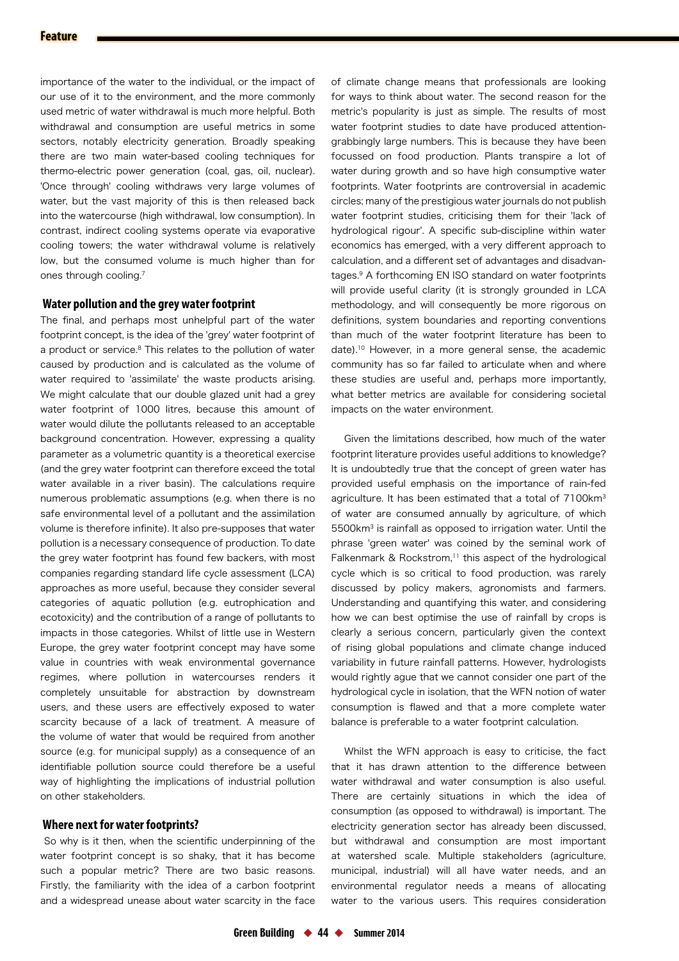importance of the water to the individual, or the impact of our use of it to the environment, and the more commonly used metric of water withdrawal is much more helpful. Both withdrawal and consumption are useful metrics in some sectors, notably electricity generation. Broadly speaking there are two main water-based cooling techniques for thermo-electric power generation (coal, gas, oil, nuclear). 'Once through' cooling withdraws very large volumes of water, but the vast majority of this is then released back into the watercourse (high withdrawal, low consumption). In contrast, indirect cooling systems operate via evaporative cooling towers; the water withdrawal volume is relatively low, but the consumed volume is much higher than for ones through cooling.7

#### **Water pollution and the grey water footprint**

The final, and perhaps most unhelpful part of the water footprint concept, is the idea of the 'grey' water footprint of a product or service.<sup>8</sup> This relates to the pollution of water caused by production and is calculated as the volume of water required to 'assimilate' the waste products arising. We might calculate that our double glazed unit had a grey water footprint of 1000 litres, because this amount of water would dilute the pollutants released to an acceptable background concentration. However, expressing a quality parameter as a volumetric quantity is a theoretical exercise (and the grey water footprint can therefore exceed the total water available in a river basin). The calculations require numerous problematic assumptions (e.g. when there is no safe environmental level of a pollutant and the assimilation volume is therefore infinite). It also pre-supposes that water pollution is a necessary consequence of production. To date the grey water footprint has found few backers, with most companies regarding standard life cycle assessment (LCA) approaches as more useful, because they consider several categories of aquatic pollution (e.g. eutrophication and ecotoxicity) and the contribution of a range of pollutants to impacts in those categories. Whilst of little use in Western Europe, the grey water footprint concept may have some value in countries with weak environmental governance regimes, where pollution in watercourses renders it completely unsuitable for abstraction by downstream users, and these users are effectively exposed to water scarcity because of a lack of treatment. A measure of the volume of water that would be required from another source (e.g. for municipal supply) as a consequence of an identifiable pollution source could therefore be a useful way of highlighting the implications of industrial pollution on other stakeholders.

#### **Where next for water footprints?**

So why is it then, when the scientific underpinning of the water footprint concept is so shaky, that it has become such a popular metric? There are two basic reasons. Firstly, the familiarity with the idea of a carbon footprint and a widespread unease about water scarcity in the face

of climate change means that professionals are looking for ways to think about water. The second reason for the metric's popularity is just as simple. The results of most water footprint studies to date have produced attentiongrabbingly large numbers. This is because they have been focussed on food production. Plants transpire a lot of water during growth and so have high consumptive water footprints. Water footprints are controversial in academic circles; many of the prestigious water journals do not publish water footprint studies, criticising them for their 'lack of hydrological rigour'. A specific sub-discipline within water economics has emerged, with a very different approach to calculation, and a different set of advantages and disadvantages.9 A forthcoming EN ISO standard on water footprints will provide useful clarity (it is strongly grounded in LCA methodology, and will consequently be more rigorous on definitions, system boundaries and reporting conventions than much of the water footprint literature has been to date).10 However, in a more general sense, the academic community has so far failed to articulate when and where these studies are useful and, perhaps more importantly, what better metrics are available for considering societal impacts on the water environment.

Given the limitations described, how much of the water footprint literature provides useful additions to knowledge? It is undoubtedly true that the concept of green water has provided useful emphasis on the importance of rain-fed agriculture. It has been estimated that a total of 7100km<sup>3</sup> of water are consumed annually by agriculture, of which 5500km3 is rainfall as opposed to irrigation water. Until the phrase 'green water' was coined by the seminal work of Falkenmark & Rockstrom.<sup>11</sup> this aspect of the hydrological cycle which is so critical to food production, was rarely discussed by policy makers, agronomists and farmers. Understanding and quantifying this water, and considering how we can best optimise the use of rainfall by crops is clearly a serious concern, particularly given the context of rising global populations and climate change induced variability in future rainfall patterns. However, hydrologists would rightly ague that we cannot consider one part of the hydrological cycle in isolation, that the WFN notion of water consumption is flawed and that a more complete water balance is preferable to a water footprint calculation.

Whilst the WFN approach is easy to criticise, the fact that it has drawn attention to the difference between water withdrawal and water consumption is also useful. There are certainly situations in which the idea of consumption (as opposed to withdrawal) is important. The electricity generation sector has already been discussed, but withdrawal and consumption are most important at watershed scale. Multiple stakeholders (agriculture, municipal, industrial) will all have water needs, and an environmental regulator needs a means of allocating water to the various users. This requires consideration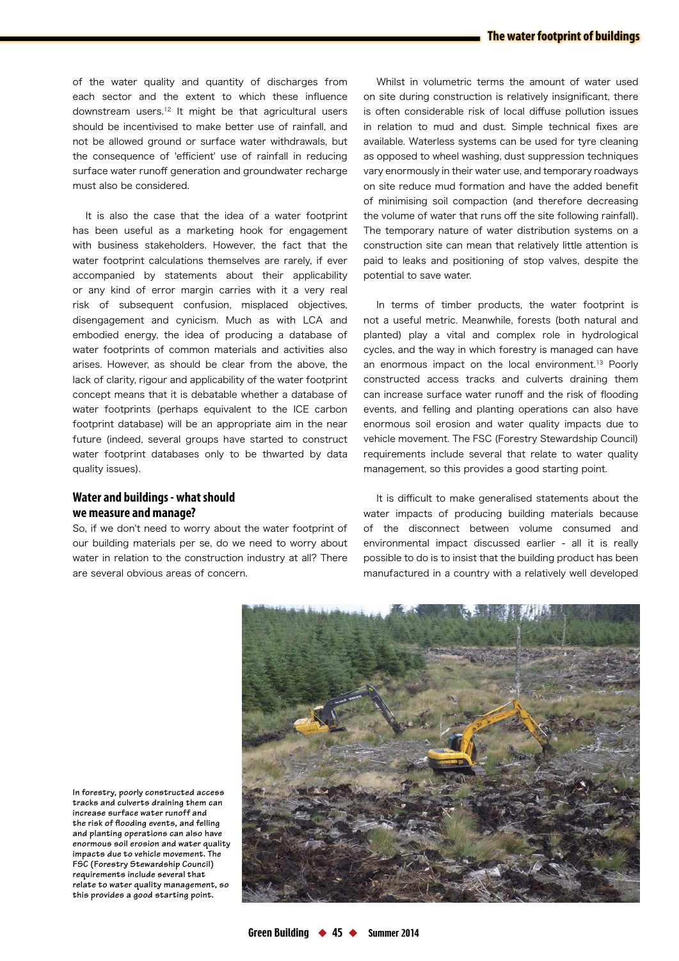of the water quality and quantity of discharges from each sector and the extent to which these influence downstream users.12 It might be that agricultural users should be incentivised to make better use of rainfall, and not be allowed ground or surface water withdrawals, but the consequence of 'efficient' use of rainfall in reducing surface water runoff generation and groundwater recharge must also be considered.

It is also the case that the idea of a water footprint has been useful as a marketing hook for engagement with business stakeholders. However, the fact that the water footprint calculations themselves are rarely, if ever accompanied by statements about their applicability or any kind of error margin carries with it a very real risk of subsequent confusion, misplaced objectives, disengagement and cynicism. Much as with LCA and embodied energy, the idea of producing a database of water footprints of common materials and activities also arises. However, as should be clear from the above, the lack of clarity, rigour and applicability of the water footprint concept means that it is debatable whether a database of water footprints (perhaps equivalent to the ICE carbon footprint database) will be an appropriate aim in the near future (indeed, several groups have started to construct water footprint databases only to be thwarted by data quality issues).

## **Water and buildings - what should we measure and manage?**

So, if we don't need to worry about the water footprint of our building materials per se, do we need to worry about water in relation to the construction industry at all? There are several obvious areas of concern.

Whilst in volumetric terms the amount of water used on site during construction is relatively insignificant, there is often considerable risk of local diffuse pollution issues in relation to mud and dust. Simple technical fixes are available. Waterless systems can be used for tyre cleaning as opposed to wheel washing, dust suppression techniques vary enormously in their water use, and temporary roadways on site reduce mud formation and have the added benefit of minimising soil compaction (and therefore decreasing the volume of water that runs off the site following rainfall). The temporary nature of water distribution systems on a construction site can mean that relatively little attention is paid to leaks and positioning of stop valves, despite the potential to save water.

In terms of timber products, the water footprint is not a useful metric. Meanwhile, forests (both natural and planted) play a vital and complex role in hydrological cycles, and the way in which forestry is managed can have an enormous impact on the local environment.<sup>13</sup> Poorly constructed access tracks and culverts draining them can increase surface water runoff and the risk of flooding events, and felling and planting operations can also have enormous soil erosion and water quality impacts due to vehicle movement. The FSC (Forestry Stewardship Council) requirements include several that relate to water quality management, so this provides a good starting point.

It is difficult to make generalised statements about the water impacts of producing building materials because of the disconnect between volume consumed and environmental impact discussed earlier - all it is really possible to do is to insist that the building product has been manufactured in a country with a relatively well developed



**In forestry, poorly constructed access tracks and culverts draining them can increase surface water runoff and the risk of fl ooding events, and felling and planting operations can also have enormous soil erosion and water quality impacts due to vehicle movement. The FSC (Forestry Stewardship Council) requirements include several that relate to water quality management, so this provides a good starting point.**